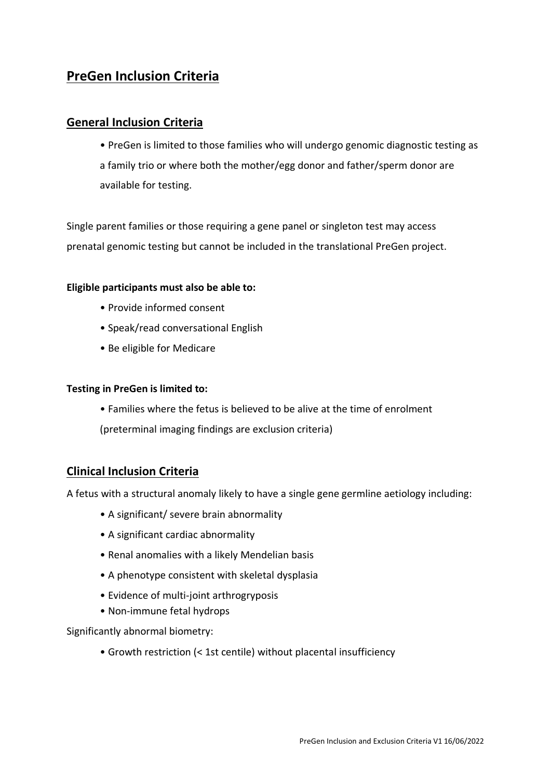# **PreGen Inclusion Criteria**

## **General Inclusion Criteria**

• PreGen is limited to those families who will undergo genomic diagnostic testing as a family trio or where both the mother/egg donor and father/sperm donor are available for testing.

Single parent families or those requiring a gene panel or singleton test may access prenatal genomic testing but cannot be included in the translational PreGen project.

#### **Eligible participants must also be able to:**

- Provide informed consent
- Speak/read conversational English
- Be eligible for Medicare

#### **Testing in PreGen is limited to:**

- Families where the fetus is believed to be alive at the time of enrolment
- (preterminal imaging findings are exclusion criteria)

### **Clinical Inclusion Criteria**

A fetus with a structural anomaly likely to have a single gene germline aetiology including:

- A significant/ severe brain abnormality
- A significant cardiac abnormality
- Renal anomalies with a likely Mendelian basis
- A phenotype consistent with skeletal dysplasia
- Evidence of multi-joint arthrogryposis
- Non-immune fetal hydrops

Significantly abnormal biometry:

• Growth restriction (< 1st centile) without placental insufficiency